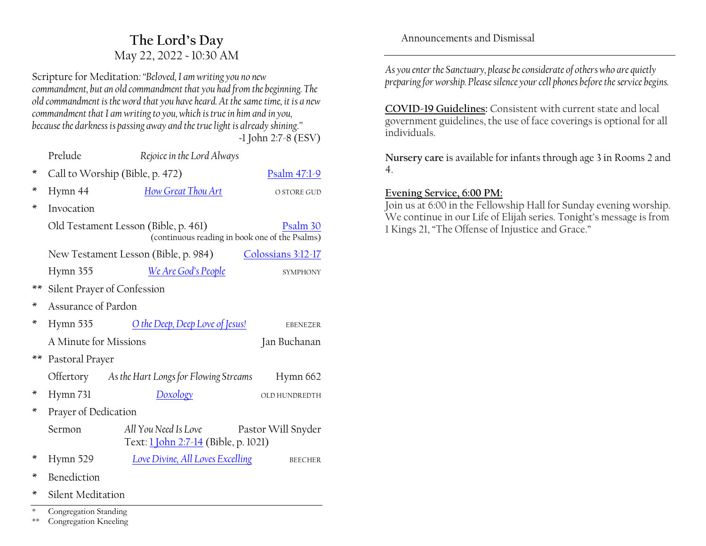# **The Lord·s Day** May 22, 2022 ~ 10:30 AM

Scripture for Meditation*:´Beloved, I am writing you no new commandment, but an old commandment that you had from the beginning. The old commandment is the word that you have heard. At the same time, it is a new commandment that I am writing to you, which is true in him and in you, because the darkness is passing away and the true light is already shining.µ ~*1 John 2:7-8 (ESV)

|                | Prelude                                                                                            | Rejoice in the Lord Always                                          |                    |  |  |
|----------------|----------------------------------------------------------------------------------------------------|---------------------------------------------------------------------|--------------------|--|--|
| ×              | Call to Worship (Bible, p. 472)                                                                    | Psalm 47:1-9                                                        |                    |  |  |
| ×              | Hymn 44                                                                                            | How Great Thou Art                                                  | O STORE GUD        |  |  |
| ∗              | Invocation                                                                                         |                                                                     |                    |  |  |
|                | Old Testament Lesson (Bible, p. 461)<br>Psalm 30<br>(continuous reading in book one of the Psalms) |                                                                     |                    |  |  |
|                |                                                                                                    | New Testament Lesson (Bible, p. 984)                                | Colossians 3:12-17 |  |  |
|                | Hymn 355                                                                                           | We Are God's People                                                 | SYMPHONY           |  |  |
| $**$           | Silent Prayer of Confession                                                                        |                                                                     |                    |  |  |
| ×              | Assurance of Pardon                                                                                |                                                                     |                    |  |  |
| ∗              | Hymn 535                                                                                           | O the Deep, Deep Love of Jesus!                                     | EBENEZER           |  |  |
|                | A Minute for Missions                                                                              |                                                                     | Jan Buchanan       |  |  |
| $**$           | Pastoral Prayer                                                                                    |                                                                     |                    |  |  |
|                |                                                                                                    | Offertory As the Hart Longs for Flowing Streams                     | Hymn 662           |  |  |
| ∗              | Hymn 731                                                                                           | Doxology                                                            | OLD HUNDREDTH      |  |  |
| ж              | Prayer of Dedication                                                                               |                                                                     |                    |  |  |
|                | Sermon                                                                                             | All You Need Is Love<br>Text: <u>1 John 2:7-14</u> (Bible, p. 1021) | Pastor Will Snyder |  |  |
| ∗              | Hymn 529                                                                                           | Love Divine, All Loves Excelling                                    | <b>BEECHER</b>     |  |  |
| ж              | <b>Benediction</b>                                                                                 |                                                                     |                    |  |  |
| ж              | Silent Meditation                                                                                  |                                                                     |                    |  |  |
| $\ast$<br>$**$ | Congregation Standing<br>Congregation Kneeling                                                     |                                                                     |                    |  |  |

Announcements and Dismissal

*As you enter the Sanctuary, please be considerate of others who are quietly preparing for worship. Please silence your cell phones before the service begins.*

**COVID-19 Guidelines:** Consistent with current state and local government guidelines, the use of face coverings is optional for all individuals.

**Nursery care** is available for infants through age 3 in Rooms 2 and 4.

#### **Evening Service, 6:00 PM:**

Join us at 6:00 in the Fellowship Hall for Sunday evening worship. We continue in our Life of Elijah series. Tonight's message is from 1 Kings 21, "The Offense of Injustice and Grace."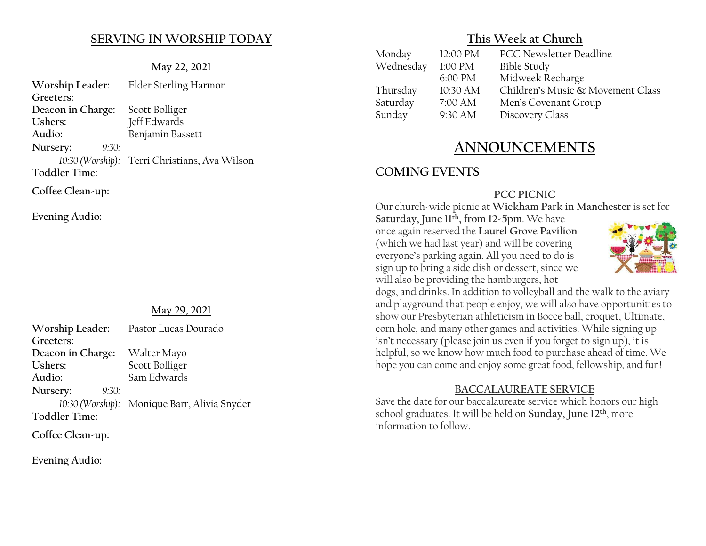### **SERVING IN WORSHIP TODAY**

#### **May 22, 2021**

| Worship Leader:      | Elder Sterling Harmon                         |
|----------------------|-----------------------------------------------|
| Greeters:            |                                               |
| Deacon in Charge:    | Scott Bolliger                                |
| Ushers:              | Jeff Edwards                                  |
| Audio:               | Benjamin Bassett                              |
| Nursery:<br>9:30:    |                                               |
|                      | 10:30 (Worship): Terri Christians, Ava Wilson |
| <b>Toddler Time:</b> |                                               |
| Coffee Clean-up:     |                                               |

**Evening Audio:**

#### **May 29, 2021**

| Worship Leader:   | Pastor Lucas Dourado                         |
|-------------------|----------------------------------------------|
| Greeters:         |                                              |
| Deacon in Charge: | Walter Mayo                                  |
| Ushers:           | Scott Bolliger                               |
| Audio:            | Sam Edwards                                  |
| Nursery:<br>9:30: |                                              |
|                   | 10:30 (Worship): Monique Barr, Alivia Snyder |
| Toddler Time:     |                                              |
| $\sim$ cc         |                                              |

**Coffee Clean-up:**

**Evening Audio:**

### **This Week at Church**

| Monday    | 12:00 PM | PCC Newsletter Deadline           |
|-----------|----------|-----------------------------------|
| Wednesday | 1:00 PM  | <b>Bible Study</b>                |
|           | 6:00 PM  | Midweek Recharge                  |
| Thursday  | 10:30 AM | Children's Music & Movement Class |
| Saturday  | 7:00 AM  | Men's Covenant Group              |
| Sunday    | 9:30 AM  | Discovery Class                   |
|           |          |                                   |

# **ANNOUNCEMENTS**

# **COMING EVENTS**

### **PCC PICNIC**

Our church-wide picnic at **Wickham Park in Manchester** is set for

Saturday, June 11<sup>th</sup>, from 12-5pm. We have once again reserved the **Laurel Grove Pavilion** (which we had last year) and will be covering everyone's parking again. All you need to do is sign up to bring a side dish or dessert, since we will also be providing the hamburgers, hot



dogs, and drinks. In addition to volleyball and the walk to the aviary and playground that people enjoy, we will also have opportunities to show our Presbyterian athleticism in Bocce ball, croquet, Ultimate, corn hole, and many other games and activities. While signing up isn't necessary (please join us even if you forget to sign up), it is helpful, so we know how much food to purchase ahead of time. We hope you can come and enjoy some great food, fellowship, and fun!

### **BACCALAUREATE SERVICE**

Save the date for our baccalaureate service which honors our high school graduates. It will be held on **Sunday, June 12th**, more information to follow.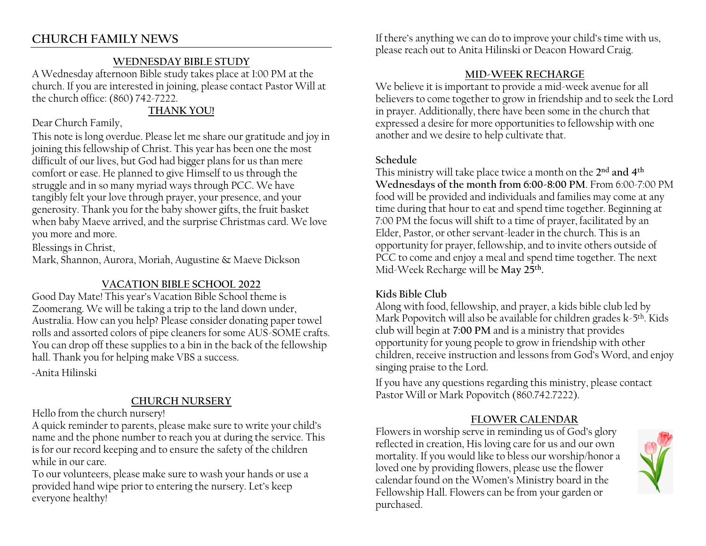# **CHURCH FAMILY NEWS**

### **WEDNESDAY BIBLE STUDY**

A Wednesday afternoon Bible study takes place at 1:00 PM at the church. If you are interested in joining, please contact Pastor Will at the church office: (860) 742-7222.

# **THANK YOU!**

Dear Church Family,

This note is long overdue. Please let me share our gratitude and joy in joining this fellowship of Christ. This year has been one the most difficult of our lives, but God had bigger plans for us than mere comfort or ease. He planned to give Himself to us through the struggle and in so many myriad ways through PCC. We have tangibly felt your love through prayer, your presence, and your generosity. Thank you for the baby shower gifts, the fruit basket when baby Maeve arrived, and the surprise Christmas card. We love you more and more.

Blessings in Christ,

Mark, Shannon, Aurora, Moriah, Augustine & Maeve Dickson

# **VACATION BIBLE SCHOOL 2022**

Good Day Mate! This year's Vacation Bible School theme is Zoomerang. We will be taking a trip to the land down under, Australia. How can you help? Please consider donating paper towel rolls and assorted colors of pipe cleaners for some AUS-SOME crafts. You can drop off these supplies to a bin in the back of the fellowship hall. Thank you for helping make VBS a success. ~Anita Hilinski

# **CHURCH NURSERY**

Hello from the church nursery!

A quick reminder to parents, please make sure to write your child's name and the phone number to reach you at during the service. This is for our record keeping and to ensure the safety of the children while in our care.

To our volunteers, please make sure to wash your hands or use a provided hand wipe prior to entering the nursery. Let's keep everyone healthy!

If there's anything we can do to improve your child's time with us, please reach out to Anita Hilinski or Deacon Howard Craig.

### **MID-WEEK RECHARGE**

We believe it is important to provide a mid-week avenue for all believers to come together to grow in friendship and to seek the Lord in prayer. Additionally, there have been some in the church that expressed a desire for more opportunities to fellowship with one another and we desire to help cultivate that.

### **Schedule**

This ministry will take place twice a month on the **2nd and 4th Wednesdays of the month from 6:00-8:00 PM**. From 6:00-7:00 PM food will be provided and individuals and families may come at any time during that hour to eat and spend time together. Beginning at 7:00 PM the focus will shift to a time of prayer, facilitated by an Elder, Pastor, or other servant-leader in the church. This is an opportunity for prayer, fellowship, and to invite others outside of PCC to come and enjoy a meal and spend time together. The next Mid-Week Recharge will be **May 25th.**

# **Kids Bible Club**

Along with food, fellowship, and prayer, a kids bible club led by Mark Popovitch will also be available for children grades  $k-5$ <sup>th</sup>. Kids club will begin at **7:00 PM** and is a ministry that provides opportunity for young people to grow in friendship with other  $c$ hildren, receive instruction and lessons from God's Word, and enjoy singing praise to the Lord.

If you have any questions regarding this ministry, please contact Pastor Will or Mark Popovitch (860.742.7222).

# **FLOWER CALENDAR**

Flowers in worship serve in reminding us of God's glory reflected in creation, His loving care for us and our own mortality. If you would like to bless our worship/honor a loved one by providing flowers, please use the flower calendar found on the Women's Ministry board in the Fellowship Hall. Flowers can be from your garden or purchased.